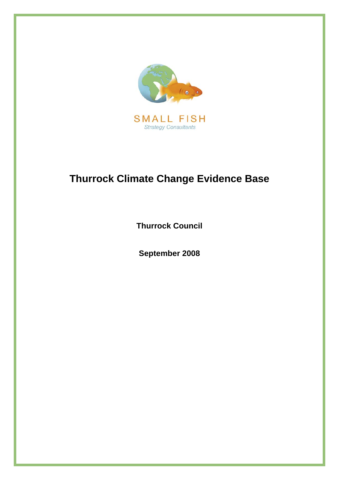

**Thurrock Council** 

**September 2008**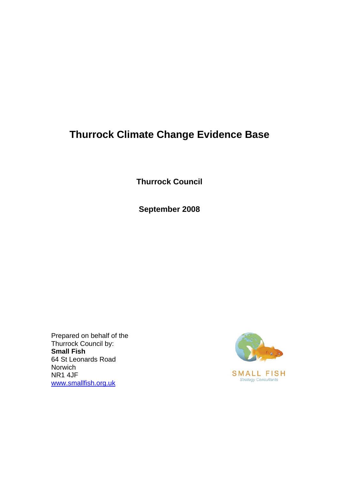**Thurrock Council** 

**September 2008** 

Prepared on behalf of the Thurrock Council by: **Small Fish**  64 St Leonards Road Norwich NR1 4JF [www.smallfish.org.uk](http://www.smallfish.org.uk/)

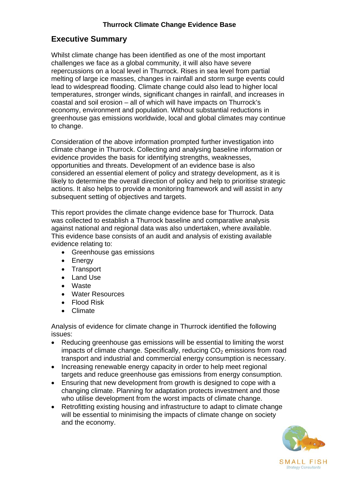# **Executive Summary**

Whilst climate change has been identified as one of the most important challenges we face as a global community, it will also have severe repercussions on a local level in Thurrock. Rises in sea level from partial melting of large ice masses, changes in rainfall and storm surge events could lead to widespread flooding. Climate change could also lead to higher local temperatures, stronger winds, significant changes in rainfall, and increases in coastal and soil erosion – all of which will have impacts on Thurrock's economy, environment and population. Without substantial reductions in greenhouse gas emissions worldwide, local and global climates may continue to change.

Consideration of the above information prompted further investigation into climate change in Thurrock. Collecting and analysing baseline information or evidence provides the basis for identifying strengths, weaknesses, opportunities and threats. Development of an evidence base is also considered an essential element of policy and strategy development, as it is likely to determine the overall direction of policy and help to prioritise strategic actions. It also helps to provide a monitoring framework and will assist in any subsequent setting of objectives and targets.

This report provides the climate change evidence base for Thurrock. Data was collected to establish a Thurrock baseline and comparative analysis against national and regional data was also undertaken, where available. This evidence base consists of an audit and analysis of existing available evidence relating to:

- Greenhouse gas emissions
- Energy
- Transport
- Land Use
- Waste
- Water Resources
- Flood Risk
- Climate

Analysis of evidence for climate change in Thurrock identified the following issues:

- Reducing greenhouse gas emissions will be essential to limiting the worst impacts of climate change. Specifically, reducing  $CO<sub>2</sub>$  emissions from road transport and industrial and commercial energy consumption is necessary.
- Increasing renewable energy capacity in order to help meet regional targets and reduce greenhouse gas emissions from energy consumption.
- Ensuring that new development from growth is designed to cope with a changing climate. Planning for adaptation protects investment and those who utilise development from the worst impacts of climate change.
- Retrofitting existing housing and infrastructure to adapt to climate change will be essential to minimising the impacts of climate change on society and the economy.

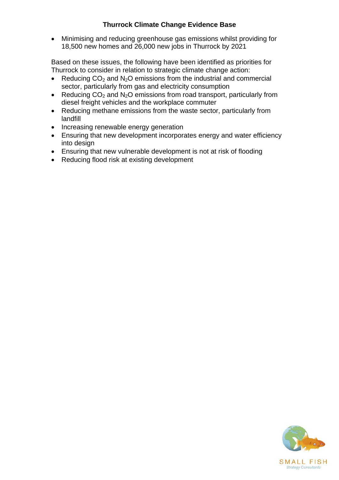• Minimising and reducing greenhouse gas emissions whilst providing for 18,500 new homes and 26,000 new jobs in Thurrock by 2021

Based on these issues, the following have been identified as priorities for Thurrock to consider in relation to strategic climate change action:

- Reducing  $CO<sub>2</sub>$  and N<sub>2</sub>O emissions from the industrial and commercial sector, particularly from gas and electricity consumption
- Reducing  $CO<sub>2</sub>$  and N<sub>2</sub>O emissions from road transport, particularly from diesel freight vehicles and the workplace commuter
- Reducing methane emissions from the waste sector, particularly from landfill
- Increasing renewable energy generation
- Ensuring that new development incorporates energy and water efficiency into design
- Ensuring that new vulnerable development is not at risk of flooding
- Reducing flood risk at existing development

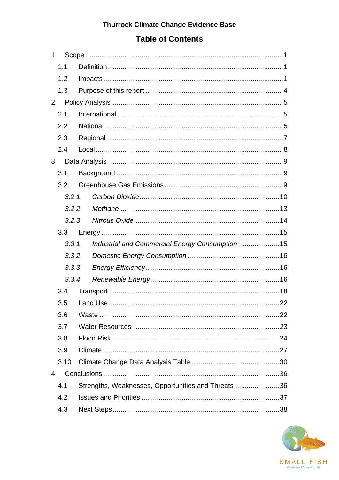# **Table of Contents**

|    | 1.    |                                                     |  |  |  |  |
|----|-------|-----------------------------------------------------|--|--|--|--|
|    | 1.1   |                                                     |  |  |  |  |
|    | 1.2   |                                                     |  |  |  |  |
|    | 1.3   |                                                     |  |  |  |  |
| 2. |       |                                                     |  |  |  |  |
|    | 2.1   |                                                     |  |  |  |  |
|    | 2.2   |                                                     |  |  |  |  |
|    | 2.3   |                                                     |  |  |  |  |
|    | 2.4   |                                                     |  |  |  |  |
|    | 3.    |                                                     |  |  |  |  |
|    | 3.1   |                                                     |  |  |  |  |
|    | 3.2   |                                                     |  |  |  |  |
|    | 3.2.1 |                                                     |  |  |  |  |
|    | 3.2.2 |                                                     |  |  |  |  |
|    | 3.2.3 |                                                     |  |  |  |  |
|    | 3.3   |                                                     |  |  |  |  |
|    | 3.3.1 | Industrial and Commercial Energy Consumption  15    |  |  |  |  |
|    | 3.3.2 |                                                     |  |  |  |  |
|    | 3.3.3 |                                                     |  |  |  |  |
|    | 3.3.4 |                                                     |  |  |  |  |
|    | 3.4   |                                                     |  |  |  |  |
|    | 3.5   |                                                     |  |  |  |  |
|    | 3.6   |                                                     |  |  |  |  |
|    | 3.7   |                                                     |  |  |  |  |
|    | 3.8   |                                                     |  |  |  |  |
|    | 3.9   |                                                     |  |  |  |  |
|    | 3.10  |                                                     |  |  |  |  |
| 4. |       |                                                     |  |  |  |  |
|    | 4.1   | Strengths, Weaknesses, Opportunities and Threats 36 |  |  |  |  |
|    | 4.2   |                                                     |  |  |  |  |
|    | 4.3   |                                                     |  |  |  |  |

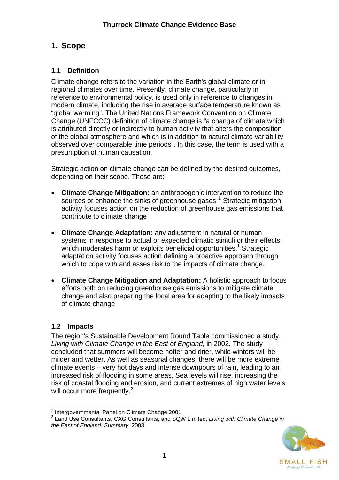# <span id="page-5-0"></span>**1. Scope**

# **1.1 Definition**

Climate change refers to the variation in the Earth's global climate or in regional climates over time. Presently, climate change, particularly in reference to environmental policy, is used only in reference to changes in modern climate, including the rise in average surface temperature known as "global warming". The United Nations Framework Convention on Climate Change (UNFCCC) definition of climate change is "a change of climate which is attributed directly or indirectly to human activity that alters the composition of the global atmosphere and which is in addition to natural climate variability observed over comparable time periods". In this case, the term is used with a presumption of human causation.

Strategic action on climate change can be defined by the desired outcomes, depending on their scope. These are:

- **Climate Change Mitigation:** an anthropogenic intervention to reduce the sources or enhance the sinks of greenhouse gases.<sup>[1](#page-5-1)</sup> Strategic mitigation activity focuses action on the reduction of greenhouse gas emissions that contribute to climate change
- **Climate Change Adaptation:** any adjustment in natural or human systems in response to actual or expected climatic stimuli or their effects, which moderates harm or exploits beneficial opportunities.<sup>1</sup> Strategic adaptation activity focuses action defining a proactive approach through which to cope with and asses risk to the impacts of climate change.
- **Climate Change Mitigation and Adaptation:** A holistic approach to focus efforts both on reducing greenhouse gas emissions to mitigate climate change and also preparing the local area for adapting to the likely impacts of climate change

# **1.2 Impacts**

The region's Sustainable Development Round Table commissioned a study, *Living with Climate Change in the East of England,* in 2002. The study concluded that summers will become hotter and drier, while winters will be milder and wetter. As well as seasonal changes, there will be more extreme climate events – very hot days and intense downpours of rain, leading to an increased risk of flooding in some areas. Sea levels will rise, increasing the risk of coastal flooding and erosion, and current extremes of high water levels will occur more frequently.<sup>[2](#page-5-2)</sup>

<span id="page-5-2"></span><span id="page-5-1"></span><sup>2</sup> Land Use Consultants, CAG Consultants, and SQW Limited, *Living with Climate Change in the East of England: Summary*, 2003.



<sup>1</sup> <sup>1</sup> Intergovernmental Panel on Climate Change 2001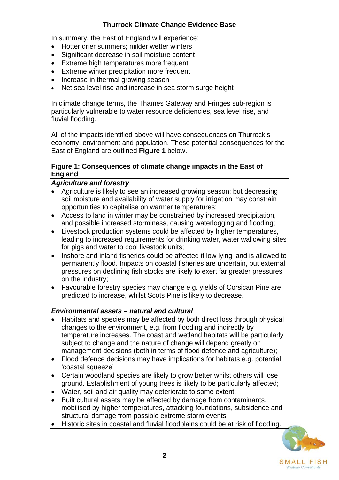In summary, the East of England will experience:

- Hotter drier summers; milder wetter winters
- Significant decrease in soil moisture content
- Extreme high temperatures more frequent
- Extreme winter precipitation more frequent
- Increase in thermal growing season
- Net sea level rise and increase in sea storm surge height

In climate change terms, the Thames Gateway and Fringes sub-region is particularly vulnerable to water resource deficiencies, sea level rise, and fluvial flooding.

All of the impacts identified above will have consequences on Thurrock's economy, environment and population. These potential consequences for the East of England are outlined **Figure 1** below.

#### **Figure 1: Consequences of climate change impacts in the East of England**

#### *Agriculture and forestry*

- Agriculture is likely to see an increased growing season; but decreasing soil moisture and availability of water supply for irrigation may constrain opportunities to capitalise on warmer temperatures;
- Access to land in winter may be constrained by increased precipitation, and possible increased storminess, causing waterlogging and flooding;
- Livestock production systems could be affected by higher temperatures, leading to increased requirements for drinking water, water wallowing sites for pigs and water to cool livestock units;
- Inshore and inland fisheries could be affected if low lying land is allowed to permanently flood. Impacts on coastal fisheries are uncertain, but external pressures on declining fish stocks are likely to exert far greater pressures on the industry;
- Favourable forestry species may change e.g. yields of Corsican Pine are predicted to increase, whilst Scots Pine is likely to decrease.

#### *Environmental assets – natural and cultural*

- Habitats and species may be affected by both direct loss through physical changes to the environment, e.g. from flooding and indirectly by temperature increases. The coast and wetland habitats will be particularly subject to change and the nature of change will depend greatly on management decisions (both in terms of flood defence and agriculture);
- Flood defence decisions may have implications for habitats e.g. potential 'coastal squeeze'
- Certain woodland species are likely to grow better whilst others will lose ground. Establishment of young trees is likely to be particularly affected;
- Water, soil and air quality may deteriorate to some extent;
- Built cultural assets may be affected by damage from contaminants, mobilised by higher temperatures, attacking foundations, subsidence and structural damage from possible extreme storm events;
- Historic sites in coastal and fluvial floodplains could be at risk of flooding.

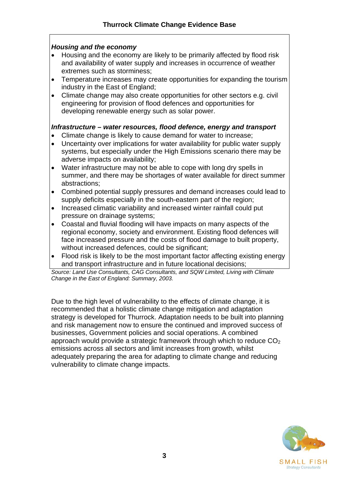#### *Housing and the economy*

- Housing and the economy are likely to be primarily affected by flood risk and availability of water supply and increases in occurrence of weather extremes such as storminess;
- Temperature increases may create opportunities for expanding the tourism industry in the East of England;
- Climate change may also create opportunities for other sectors e.g. civil engineering for provision of flood defences and opportunities for developing renewable energy such as solar power.

### *Infrastructure – water resources, flood defence, energy and transport*

- Climate change is likely to cause demand for water to increase;
- Uncertainty over implications for water availability for public water supply systems, but especially under the High Emissions scenario there may be adverse impacts on availability;
- Water infrastructure may not be able to cope with long dry spells in summer, and there may be shortages of water available for direct summer abstractions;
- Combined potential supply pressures and demand increases could lead to supply deficits especially in the south-eastern part of the region;
- Increased climatic variability and increased winter rainfall could put pressure on drainage systems;
- Coastal and fluvial flooding will have impacts on many aspects of the regional economy, society and environment. Existing flood defences will face increased pressure and the costs of flood damage to built property, without increased defences, could be significant;
- Flood risk is likely to be the most important factor affecting existing energy and transport infrastructure and in future locational decisions;

Source: Land Use Consultants, CAG Consultants, and SQW Limited, Living with Climate *Change in the East of England: Summary, 2003.*

Due to the high level of vulnerability to the effects of climate change, it is strategy is developed for Thurrock. Adaptation needs to be built into planning approach would provide a strategic framework through which to reduce  $CO<sub>2</sub>$ adequately preparing the area for adapting to climate change and reducing recommended that a holistic climate change mitigation and adaptation and risk management now to ensure the continued and improved success of businesses, Government policies and social operations. A combined emissions across all sectors and limit increases from growth, whilst vulnerability to climate change impacts.

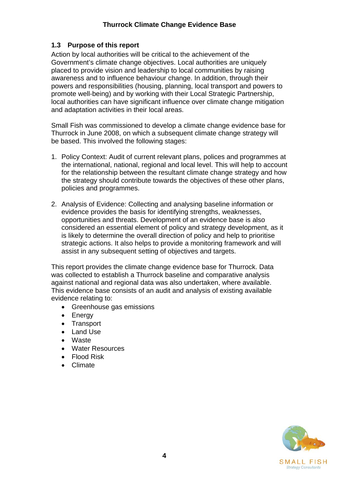### <span id="page-8-0"></span>**1.3 Purpose of this report**

Action by local authorities will be critical to the achievement of the Government's climate change objectives. Local authorities are uniquely placed to provide vision and leadership to local communities by raising awareness and to influence behaviour change. In addition, through their powers and responsibilities (housing, planning, local transport and powers to promote well-being) and by working with their Local Strategic Partnership, local authorities can have significant influence over climate change mitigation and adaptation activities in their local areas.

Small Fish was commissioned to develop a climate change evidence base for Thurrock in June 2008, on which a subsequent climate change strategy will be based. This involved the following stages:

- 1. Policy Context: Audit of current relevant plans, polices and programmes at the international, national, regional and local level. This will help to account for the relationship between the resultant climate change strategy and how the strategy should contribute towards the objectives of these other plans, policies and programmes.
- 2. Analysis of Evidence: Collecting and analysing baseline information or evidence provides the basis for identifying strengths, weaknesses, opportunities and threats. Development of an evidence base is also considered an essential element of policy and strategy development, as it is likely to determine the overall direction of policy and help to prioritise strategic actions. It also helps to provide a monitoring framework and will assist in any subsequent setting of objectives and targets.

This report provides the climate change evidence base for Thurrock. Data was collected to establish a Thurrock baseline and comparative analysis against national and regional data was also undertaken, where available. This evidence base consists of an audit and analysis of existing available evidence relating to:

- Greenhouse gas emissions
- Energy
- Transport
- Land Use
- Waste
- Water Resources
- Flood Risk
- Climate

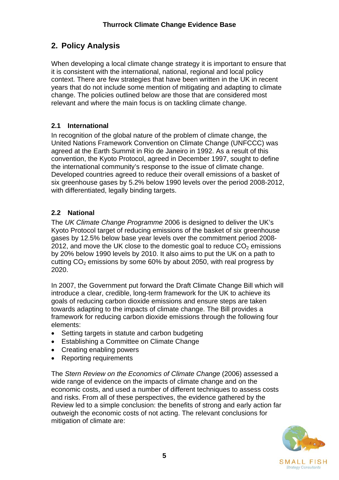# <span id="page-9-0"></span>**2. Policy Analysis**

When developing a local climate change strategy it is important to ensure that it is consistent with the international, national, regional and local policy context. There are few strategies that have been written in the UK in recent years that do not include some mention of mitigating and adapting to climate change. The policies outlined below are those that are considered most relevant and where the main focus is on tackling climate change.

# **2.1 International**

In recognition of the global nature of the problem of climate change, the United Nations Framework Convention on Climate Change (UNFCCC) was agreed at the Earth Summit in Rio de Janeiro in 1992. As a result of this convention, the Kyoto Protocol, agreed in December 1997, sought to define the international community's response to the issue of climate change. Developed countries agreed to reduce their overall emissions of a basket of six greenhouse gases by 5.2% below 1990 levels over the period 2008-2012, with differentiated, legally binding targets.

# **2.2 National**

The *UK Climate Change Programme* 2006 is designed to deliver the UK's Kyoto Protocol target of reducing emissions of the basket of six greenhouse gases by 12.5% below base year levels over the commitment period 2008- 2012, and move the UK close to the domestic goal to reduce  $CO<sub>2</sub>$  emissions by 20% below 1990 levels by 2010. It also aims to put the UK on a path to cutting  $CO<sub>2</sub>$  emissions by some 60% by about 2050, with real progress by 2020.

In 2007, the Government put forward the Draft Climate Change Bill which will introduce a clear, credible, long-term framework for the UK to achieve its goals of reducing carbon dioxide emissions and ensure steps are taken towards adapting to the impacts of climate change. The Bill provides a framework for reducing carbon dioxide emissions through the following four elements:

- Setting targets in statute and carbon budgeting
- Establishing a Committee on Climate Change
- Creating enabling powers
- Reporting requirements

The *Stern Review on the Economics of Climate Change* (2006) assessed a wide range of evidence on the impacts of climate change and on the economic costs, and used a number of different techniques to assess costs and risks. From all of these perspectives, the evidence gathered by the Review led to a simple conclusion: the benefits of strong and early action far outweigh the economic costs of not acting. The relevant conclusions for mitigation of climate are:

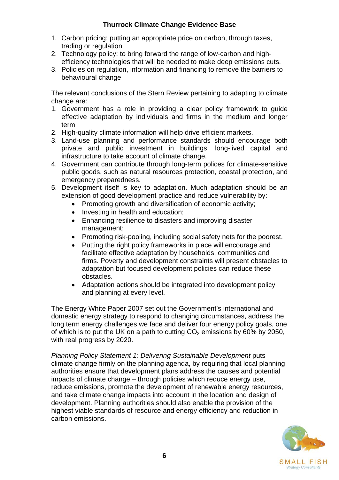- 1. Carbon pricing: putting an appropriate price on carbon, through taxes, trading or regulation
- 2. Technology policy: to bring forward the range of low-carbon and highefficiency technologies that will be needed to make deep emissions cuts.
- 3. Policies on regulation, information and financing to remove the barriers to behavioural change

The relevant conclusions of the Stern Review pertaining to adapting to climate change are:

- 1. Government has a role in providing a clear policy framework to guide effective adaptation by individuals and firms in the medium and longer term
- 2. High-quality climate information will help drive efficient markets.
- 3. Land-use planning and performance standards should encourage both private and public investment in buildings, long-lived capital and infrastructure to take account of climate change.
- 4. Government can contribute through long-term polices for climate-sensitive public goods, such as natural resources protection, coastal protection, and emergency preparedness.
- 5. Development itself is key to adaptation. Much adaptation should be an extension of good development practice and reduce vulnerability by:
	- Promoting growth and diversification of economic activity;
	- Investing in health and education;
	- Enhancing resilience to disasters and improving disaster management;
	- Promoting risk-pooling, including social safety nets for the poorest.
	- Putting the right policy frameworks in place will encourage and facilitate effective adaptation by households, communities and firms. Poverty and development constraints will present obstacles to adaptation but focused development policies can reduce these obstacles.
	- Adaptation actions should be integrated into development policy and planning at every level.

The Energy White Paper 2007 set out the Government's international and domestic energy strategy to respond to changing circumstances, address the long term energy challenges we face and deliver four energy policy goals, one of which is to put the UK on a path to cutting  $CO<sub>2</sub>$  emissions by 60% by 2050, with real progress by 2020.

**Planning Policy Statement 1: Delivering Sustainable Development puts** climate change firmly on the planning agenda, by requiring that local planning authorities ensure that development plans address the causes and potential impacts of climate change – through policies which reduce energy use, reduce emissions, promote the development of renewable energy resources, and take climate change impacts into account in the location and design of development. Planning authorities should also enable the provision of the highest viable standards of resource and energy efficiency and reduction in carbon emissions.

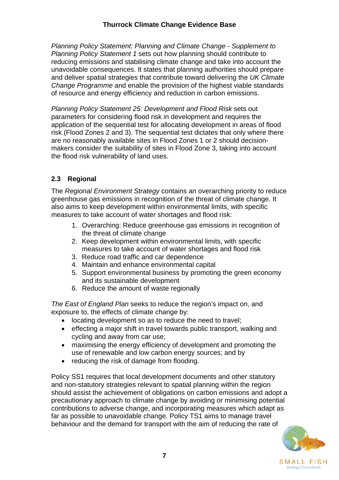<span id="page-11-0"></span>*Planning Policy Statement: Planning and Climate Change - Supplement to Planning Policy Statement 1* sets out how planning should contribute to reducing emissions and stabilising climate change and take into account the unavoidable consequences. It states that planning authorities should prepare and deliver spatial strategies that contribute toward delivering the *UK Climate Change Programme* and enable the provision of the highest viable standards of resource and energy efficiency and reduction in carbon emissions.

*Planning Policy Statement 25: Development and Flood Risk* sets out parameters for considering flood risk in development and requires the application of the sequential test for allocating development in areas of flood risk (Flood Zones 2 and 3). The sequential test dictates that only where there are no reasonably available sites in Flood Zones 1 or 2 should decisionmakers consider the suitability of sites in Flood Zone 3, taking into account the flood risk vulnerability of land uses.

# **2.3 Regional**

The *Regional Environment Strategy* contains an overarching priority to reduce greenhouse gas emissions in recognition of the threat of climate change. It also aims to keep development within environmental limits, with specific measures to take account of water shortages and flood risk:

- 1. Overarching: Reduce greenhouse gas emissions in recognition of the threat of climate change
- 2. Keep development within environmental limits, with specific measures to take account of water shortages and flood risk
- 3. Reduce road traffic and car dependence
- 4. Maintain and enhance environmental capital
- 5. Support environmental business by promoting the green economy and its sustainable development
- 6. Reduce the amount of waste regionally

*The East of England Plan* seeks to reduce the region's impact on, and exposure to, the effects of climate change by:

- locating development so as to reduce the need to travel;
- effecting a major shift in travel towards public transport, walking and cycling and away from car use;
- maximising the energy efficiency of development and promoting the use of renewable and low carbon energy sources; and by
- reducing the risk of damage from flooding.

Policy SS1 requires that local development documents and other statutory and non-statutory strategies relevant to spatial planning within the region should assist the achievement of obligations on carbon emissions and adopt a precautionary approach to climate change by avoiding or minimising potential contributions to adverse change, and incorporating measures which adapt as far as possible to unavoidable change. Policy TS1 aims to manage travel behaviour and the demand for transport with the aim of reducing the rate of

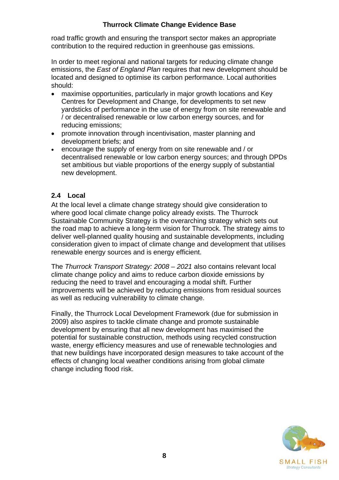<span id="page-12-0"></span>road traffic growth and ensuring the transport sector makes an appropriate contribution to the required reduction in greenhouse gas emissions.

In order to meet regional and national targets for reducing climate change emissions, the *East of England Plan* requires that new development should be located and designed to optimise its carbon performance. Local authorities should:

- maximise opportunities, particularly in major growth locations and Key Centres for Development and Change, for developments to set new yardsticks of performance in the use of energy from on site renewable and / or decentralised renewable or low carbon energy sources, and for reducing emissions;
- promote innovation through incentivisation, master planning and development briefs; and
- encourage the supply of energy from on site renewable and / or decentralised renewable or low carbon energy sources; and through DPDs set ambitious but viable proportions of the energy supply of substantial new development.

### **2.4 Local**

At the local level a climate change strategy should give consideration to where good local climate change policy already exists. The Thurrock Sustainable Community Strategy is the overarching strategy which sets out the road map to achieve a long-term vision for Thurrock. The strategy aims to deliver well-planned quality housing and sustainable developments, including consideration given to impact of climate change and development that utilises renewable energy sources and is energy efficient.

The *Thurrock Transport Strategy: 2008 – 2021* also contains relevant local climate change policy and aims to reduce carbon dioxide emissions by reducing the need to travel and encouraging a modal shift. Further improvements will be achieved by reducing emissions from residual sources as well as reducing vulnerability to climate change.

Finally, the Thurrock Local Development Framework (due for submission in 2009) also aspires to tackle climate change and promote sustainable development by ensuring that all new development has maximised the potential for sustainable construction, methods using recycled construction waste, energy efficiency measures and use of renewable technologies and that new buildings have incorporated design measures to take account of the effects of changing local weather conditions arising from global climate change including flood risk.

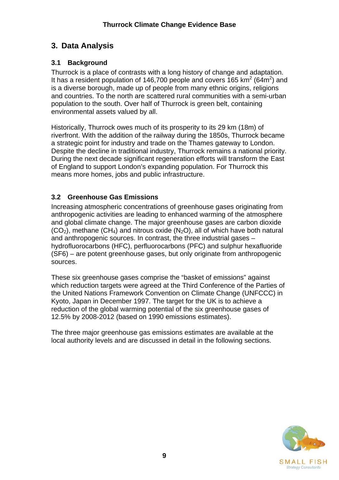# <span id="page-13-0"></span>**3. Data Analysis**

# **3.1 Background**

Thurrock is a place of contrasts with a long history of change and adaptation. It has a resident population of 146,700 people and covers 165  $km^2$  (64m<sup>2</sup>) and is a diverse borough, made up of people from many ethnic origins, religions and countries. To the north are scattered rural communities with a semi-urban population to the south. Over half of Thurrock is green belt, containing environmental assets valued by all.

Historically, Thurrock owes much of its prosperity to its 29 km (18m) of riverfront. With the addition of the railway during the 1850s, Thurrock became a strategic point for industry and trade on the Thames gateway to London. Despite the decline in traditional industry, Thurrock remains a national priority. During the next decade significant regeneration efforts will transform the East of England to support London's expanding population. For Thurrock this means more homes, jobs and public infrastructure.

# **3.2 Greenhouse Gas Emissions**

Increasing atmospheric concentrations of greenhouse gases originating from anthropogenic activities are leading to enhanced warming of the atmosphere and global climate change. The major greenhouse gases are carbon dioxide  $(CO<sub>2</sub>)$ , methane  $(CH<sub>4</sub>)$  and nitrous oxide  $(N<sub>2</sub>O)$ , all of which have both natural and anthropogenic sources. In contrast, the three industrial gases – hydrofluorocarbons (HFC), perfluorocarbons (PFC) and sulphur hexafluoride (SF6) – are potent greenhouse gases, but only originate from anthropogenic sources.

These six greenhouse gases comprise the "basket of emissions" against which reduction targets were agreed at the Third Conference of the Parties of the United Nations Framework Convention on Climate Change (UNFCCC) in Kyoto, Japan in December 1997. The target for the UK is to achieve a reduction of the global warming potential of the six greenhouse gases of 12.5% by 2008-2012 (based on 1990 emissions estimates).

The three major greenhouse gas emissions estimates are available at the local authority levels and are discussed in detail in the following sections.

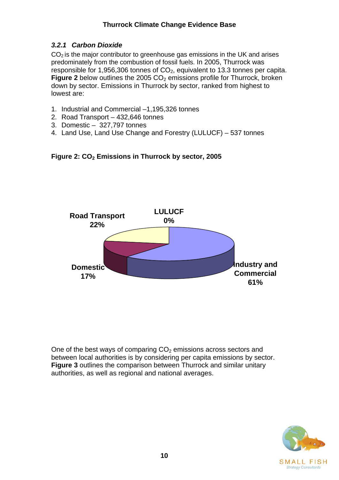# <span id="page-14-0"></span>*3.2.1 Carbon Dioxide*

 $CO<sub>2</sub>$  is the major contributor to greenhouse gas emissions in the UK and arises predominately from the combustion of fossil fuels. In 2005, Thurrock was responsible for 1,956,306 tonnes of  $CO<sub>2</sub>$ , equivalent to 13.3 tonnes per capita. **Figure 2** below outlines the 2005 CO<sub>2</sub> emissions profile for Thurrock, broken down by sector. Emissions in Thurrock by sector, ranked from highest to lowest are:

- 1. Industrial and Commercial –1,195,326 tonnes
- 2. Road Transport 432,646 tonnes
- 3. Domestic 327,797 tonnes
- 4. Land Use, Land Use Change and Forestry (LULUCF) 537 tonnes





One of the best ways of comparing  $CO<sub>2</sub>$  emissions across sectors and between local authorities is by considering per capita emissions by sector. **Figure 3** outlines the comparison between Thurrock and similar unitary authorities, as well as regional and national averages.

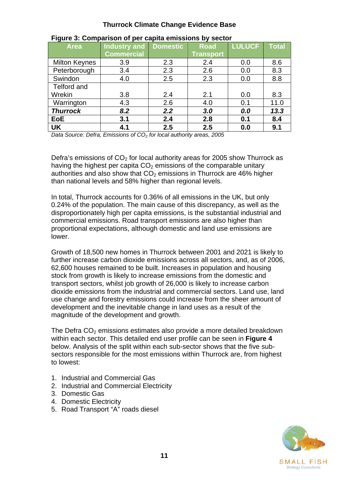| <b>Area</b>          | <b>Industry and</b> | <b>Domestic</b> | <b>Road</b>      | <b>LULUCF</b> | <b>Total</b> |
|----------------------|---------------------|-----------------|------------------|---------------|--------------|
|                      | <b>Commercial</b>   |                 | <b>Transport</b> |               |              |
| <b>Milton Keynes</b> | 3.9                 | 2.3             | 2.4              | 0.0           | 8.6          |
| Peterborough         | 3.4                 | 2.3             | 2.6              | 0.0           | 8.3          |
| Swindon              | 4.0                 | 2.5             | 2.3              | 0.0           | 8.8          |
| Telford and          |                     |                 |                  |               |              |
| Wrekin               | 3.8                 | 2.4             | 2.1              | 0.0           | 8.3          |
| Warrington           | 4.3                 | 2.6             | 4.0              | 0.1           | 11.0         |
| <b>Thurrock</b>      | 8.2                 | 2.2             | 3.0              | 0.0           | 13.3         |
| <b>EoE</b>           | 3.1                 | 2.4             | 2.8              | 0.1           | 8.4          |
| <b>UK</b>            | 4.1                 | 2.5             | 2.5              | 0.0           | 9.1          |

### **Figure 3: Comparison of per capita emissions by sector**

*Data Source: Defra, Emissions of CO<sub>2</sub> for local authority areas, 2005* 

Defra's emissions of  $CO<sub>2</sub>$  for local authority areas for 2005 show Thurrock as having the highest per capita  $CO<sub>2</sub>$  emissions of the comparable unitary authorities and also show that  $CO<sub>2</sub>$  emissions in Thurrock are 46% higher than national levels and 58% higher than regional levels.

In total, Thurrock accounts for 0.36% of all emissions in the UK, but only 0.24% of the population. The main cause of this discrepancy, as well as the disproportionately high per capita emissions, is the substantial industrial and commercial emissions. Road transport emissions are also higher than proportional expectations, although domestic and land use emissions are lower.

Growth of 18,500 new homes in Thurrock between 2001 and 2021 is likely to further increase carbon dioxide emissions across all sectors, and, as of 2006, 62,600 houses remained to be built. Increases in population and housing stock from growth is likely to increase emissions from the domestic and transport sectors, whilst job growth of 26,000 is likely to increase carbon dioxide emissions from the industrial and commercial sectors. Land use, land use change and forestry emissions could increase from the sheer amount of development and the inevitable change in land uses as a result of the magnitude of the development and growth.

The Defra  $CO<sub>2</sub>$  emissions estimates also provide a more detailed breakdown within each sector. This detailed end user profile can be seen in **Figure 4** below. Analysis of the split within each sub-sector shows that the five subsectors responsible for the most emissions within Thurrock are, from highest to lowest:

- 1. Industrial and Commercial Gas
- 2. Industrial and Commercial Electricity
- 3. Domestic Gas
- 4. Domestic Electricity
- 5. Road Transport "A" roads diesel

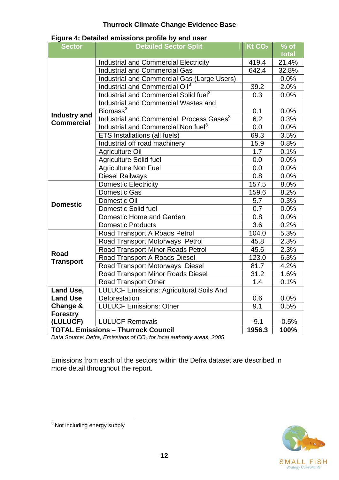<span id="page-16-0"></span>

| <b>Sector</b>                                               | <b>Detailed Sector Split</b>                         | Kt CO <sub>2</sub> | $%$ of  |  |  |
|-------------------------------------------------------------|------------------------------------------------------|--------------------|---------|--|--|
|                                                             |                                                      |                    | total   |  |  |
|                                                             | <b>Industrial and Commercial Electricity</b>         | 419.4<br>642.4     | 21.4%   |  |  |
|                                                             | <b>Industrial and Commercial Gas</b>                 |                    | 32.8%   |  |  |
|                                                             | Industrial and Commercial Gas (Large Users)          |                    | 0.0%    |  |  |
|                                                             | Industrial and Commercial Oil <sup>3</sup>           |                    | 2.0%    |  |  |
|                                                             | Industrial and Commercial Solid fuel <sup>3</sup>    | 0.3                | 0.0%    |  |  |
|                                                             | <b>Industrial and Commercial Wastes and</b>          |                    |         |  |  |
|                                                             | Biomass <sup>3</sup>                                 | 0.1                | 0.0%    |  |  |
| <b>Industry and</b><br><b>Commercial</b>                    | Industrial and Commercial Process Gases <sup>3</sup> | $\overline{6.2}$   | 0.3%    |  |  |
|                                                             | Industrial and Commercial Non fuel <sup>3</sup>      | 0.0                | 0.0%    |  |  |
|                                                             | <b>ETS Installations (all fuels)</b>                 | 69.3               | 3.5%    |  |  |
|                                                             | Industrial off road machinery                        | 15.9               | 0.8%    |  |  |
|                                                             | <b>Agriculture Oil</b>                               | 1.7                | 0.1%    |  |  |
|                                                             | <b>Agriculture Solid fuel</b>                        | 0.0                | 0.0%    |  |  |
|                                                             | <b>Agriculture Non Fuel</b>                          | 0.0                | 0.0%    |  |  |
|                                                             | <b>Diesel Railways</b>                               | 0.8                | 0.0%    |  |  |
|                                                             | <b>Domestic Electricity</b>                          | 157.5              | 8.0%    |  |  |
|                                                             | <b>Domestic Gas</b>                                  | 159.6              | 8.2%    |  |  |
| <b>Domestic</b>                                             | Domestic Oil                                         | 5.7                | 0.3%    |  |  |
|                                                             | Domestic Solid fuel                                  | 0.7                | 0.0%    |  |  |
|                                                             | Domestic Home and Garden                             | 0.8                | 0.0%    |  |  |
|                                                             | <b>Domestic Products</b>                             | 3.6                | 0.2%    |  |  |
|                                                             | Road Transport A Roads Petrol                        | 104.0              | 5.3%    |  |  |
|                                                             | Road Transport Motorways Petrol                      | 45.8               | 2.3%    |  |  |
| <b>Road</b>                                                 | Road Transport Minor Roads Petrol                    | 45.6               | 2.3%    |  |  |
|                                                             | Road Transport A Roads Diesel                        | 123.0              | 6.3%    |  |  |
| <b>Transport</b>                                            | Road Transport Motorways Diesel                      | 81.7               | 4.2%    |  |  |
|                                                             | Road Transport Minor Roads Diesel                    | 31.2               | 1.6%    |  |  |
|                                                             | <b>Road Transport Other</b>                          | 1.4                | 0.1%    |  |  |
| Land Use,                                                   | <b>LULUCF Emissions: Agricultural Soils And</b>      |                    |         |  |  |
| <b>Land Use</b>                                             | Deforestation                                        | 0.6                | 0.0%    |  |  |
| Change &                                                    | <b>LULUCF Emissions: Other</b>                       | 9.1                | 0.5%    |  |  |
| <b>Forestry</b>                                             |                                                      |                    |         |  |  |
| (LULUCF)                                                    | <b>LULUCF Removals</b>                               | $-9.1$             | $-0.5%$ |  |  |
| 1956.3<br><b>TOTAL Emissions - Thurrock Council</b><br>100% |                                                      |                    |         |  |  |

*Data Source: Defra, Emissions of CO2 for local authority areas, 2005* 

Emissions from each of the sectors within the Defra dataset are described in more detail throughout the report.



 3 Not including energy supply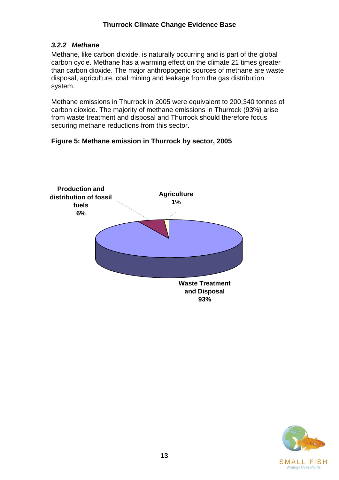# <span id="page-17-0"></span>*3.2.2 Methane*

Methane, like carbon dioxide, is naturally occurring and is part of the global carbon cycle. Methane has a warming effect on the climate 21 times greater than carbon dioxide. The major anthropogenic sources of methane are waste disposal, agriculture, coal mining and leakage from the gas distribution system.

Methane emissions in Thurrock in 2005 were equivalent to 200,340 tonnes of carbon dioxide. The majority of methane emissions in Thurrock (93%) arise from waste treatment and disposal and Thurrock should therefore focus securing methane reductions from this sector.

# **Figure 5: Methane emission in Thurrock by sector, 2005**



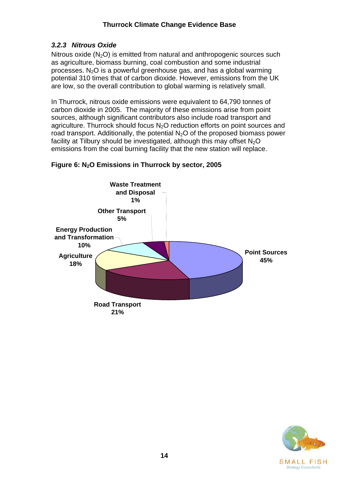# <span id="page-18-0"></span>*3.2.3 Nitrous Oxide*

Nitrous oxide  $(N_2O)$  is emitted from natural and anthropogenic sources such as agriculture, biomass burning, coal combustion and some industrial processes.  $N<sub>2</sub>O$  is a powerful greenhouse gas, and has a global warming potential 310 times that of carbon dioxide. However, emissions from the UK are low, so the overall contribution to global warming is relatively small.

In Thurrock, nitrous oxide emissions were equivalent to 64,790 tonnes of carbon dioxide in 2005. The majority of these emissions arise from point sources, although significant contributors also include road transport and agriculture. Thurrock should focus N<sub>2</sub>O reduction efforts on point sources and road transport. Additionally, the potential  $N<sub>2</sub>O$  of the proposed biomass power facility at Tilbury should be investigated, although this may offset  $N_2O$ emissions from the coal burning facility that the new station will replace.

# **Figure 6: N2O Emissions in Thurrock by sector, 2005**



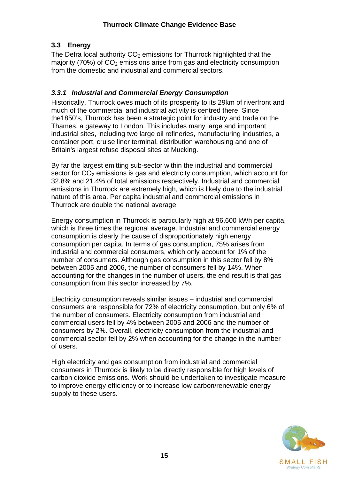# <span id="page-19-0"></span>**3.3 Energy**

The Defra local authority  $CO<sub>2</sub>$  emissions for Thurrock highlighted that the majority (70%) of  $CO<sub>2</sub>$  emissions arise from gas and electricity consumption from the domestic and industrial and commercial sectors.

# *3.3.1 Industrial and Commercial Energy Consumption*

Historically, Thurrock owes much of its prosperity to its 29km of riverfront and much of the commercial and industrial activity is centred there. Since the1850's, Thurrock has been a strategic point for industry and trade on the Thames, a gateway to London. This includes many large and important industrial sites, including two large oil refineries, manufacturing industries, a container port, cruise liner terminal, distribution warehousing and one of Britain's largest refuse disposal sites at Mucking.

By far the largest emitting sub-sector within the industrial and commercial sector for  $CO<sub>2</sub>$  emissions is gas and electricity consumption, which account for 32.8% and 21.4% of total emissions respectively. Industrial and commercial emissions in Thurrock are extremely high, which is likely due to the industrial nature of this area. Per capita industrial and commercial emissions in Thurrock are double the national average.

Energy consumption in Thurrock is particularly high at 96,600 kWh per capita, which is three times the regional average. Industrial and commercial energy consumption is clearly the cause of disproportionately high energy consumption per capita. In terms of gas consumption, 75% arises from industrial and commercial consumers, which only account for 1% of the number of consumers. Although gas consumption in this sector fell by 8% between 2005 and 2006, the number of consumers fell by 14%. When accounting for the changes in the number of users, the end result is that gas consumption from this sector increased by 7%.

Electricity consumption reveals similar issues – industrial and commercial consumers are responsible for 72% of electricity consumption, but only 6% of the number of consumers. Electricity consumption from industrial and commercial users fell by 4% between 2005 and 2006 and the number of consumers by 2%. Overall, electricity consumption from the industrial and commercial sector fell by 2% when accounting for the change in the number of users.

High electricity and gas consumption from industrial and commercial consumers in Thurrock is likely to be directly responsible for high levels of carbon dioxide emissions. Work should be undertaken to investigate measure to improve energy efficiency or to increase low carbon/renewable energy supply to these users.

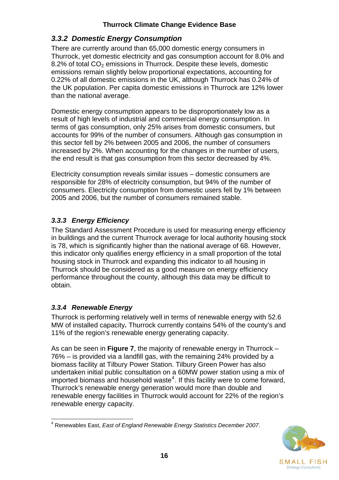# <span id="page-20-0"></span>*3.3.2 Domestic Energy Consumption*

There are currently around than 65,000 domestic energy consumers in Thurrock, yet domestic electricity and gas consumption account for 8.0% and 8.2% of total  $CO<sub>2</sub>$  emissions in Thurrock. Despite these levels, domestic emissions remain slightly below proportional expectations, accounting for 0.22% of all domestic emissions in the UK, although Thurrock has 0.24% of the UK population. Per capita domestic emissions in Thurrock are 12% lower than the national average.

Domestic energy consumption appears to be disproportionately low as a result of high levels of industrial and commercial energy consumption. In terms of gas consumption, only 25% arises from domestic consumers, but accounts for 99% of the number of consumers. Although gas consumption in this sector fell by 2% between 2005 and 2006, the number of consumers increased by 2%. When accounting for the changes in the number of users, the end result is that gas consumption from this sector decreased by 4%.

Electricity consumption reveals similar issues – domestic consumers are responsible for 28% of electricity consumption, but 94% of the number of consumers. Electricity consumption from domestic users fell by 1% between 2005 and 2006, but the number of consumers remained stable.

# *3.3.3 Energy Efficiency*

The Standard Assessment Procedure is used for measuring energy efficiency in buildings and the current Thurrock average for local authority housing stock is 78, which is significantly higher than the national average of 68. However, this indicator only qualifies energy efficiency in a small proportion of the total housing stock in Thurrock and expanding this indicator to all housing in Thurrock should be considered as a good measure on energy efficiency performance throughout the county, although this data may be difficult to obtain.

# *3.3.4 Renewable Energy*

Thurrock is performing relatively well in terms of renewable energy with 52.6 MW of installed capacity*.* Thurrock currently contains 54% of the county's and 11% of the region's renewable energy generating capacity.

As can be seen in **Figure 7**, the majority of renewable energy in Thurrock – 76% – is provided via a landfill gas, with the remaining 24% provided by a biomass facility at Tilbury Power Station. Tilbury Green Power has also undertaken initial public consultation on a 60MW power station using a mix of imported biomass and household waste<sup>[4](#page-20-0)</sup>. If this facility were to come forward, Thurrock's renewable energy generation would more than double and renewable energy facilities in Thurrock would account for 22% of the region's renewable energy capacity.

<sup>&</sup>lt;u>.</u> 4 Renewables East, *East of England Renewable Energy Statistics December 2007*.

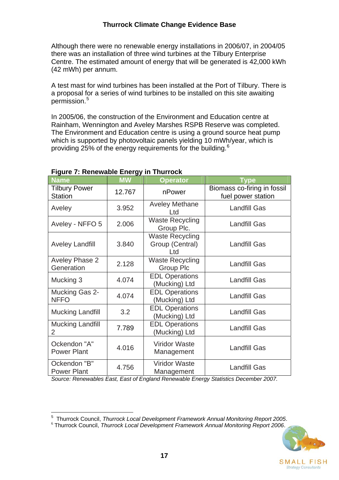<span id="page-21-0"></span>Although there were no renewable energy installations in 2006/07, in 2004/05 there was an installation of three wind turbines at the Tilbury Enterprise Centre. The estimated amount of energy that will be generated is 42,000 kWh (42 mWh) per annum.

A test mast for wind turbines has been installed at the Port of Tilbury. There is a proposal for a series of wind turbines to be installed on this site awaiting permission.[5](#page-21-0)

In 2005/06, the construction of the Environment and Education centre at Rainham, Wennington and Aveley Marshes RSPB Reserve was completed. The Environment and Education centre is using a ground source heat pump which is supported by photovoltaic panels yielding 10 mWh/year, which is providing 25% of the energy requirements for the building.<sup>[6](#page-21-0)</sup>

| <b>Name</b>                               | <b>MW</b> | <b>Operator</b>                                  | <b>Type</b>                                       |
|-------------------------------------------|-----------|--------------------------------------------------|---------------------------------------------------|
| <b>Tilbury Power</b><br><b>Station</b>    | 12.767    | nPower                                           | Biomass co-firing in fossil<br>fuel power station |
| Aveley                                    | 3.952     | <b>Aveley Methane</b><br>Ltd                     | <b>Landfill Gas</b>                               |
| Aveley - NFFO 5                           | 2.006     | <b>Waste Recycling</b><br>Group Plc.             | <b>Landfill Gas</b>                               |
| <b>Aveley Landfill</b>                    | 3.840     | <b>Waste Recycling</b><br>Group (Central)<br>Ltd | <b>Landfill Gas</b>                               |
| <b>Aveley Phase 2</b><br>Generation       | 2.128     | <b>Waste Recycling</b><br><b>Group Plc</b>       | <b>Landfill Gas</b>                               |
| Mucking 3                                 | 4.074     | <b>EDL Operations</b><br>(Mucking) Ltd           | <b>Landfill Gas</b>                               |
| Mucking Gas 2-<br><b>NFFO</b>             | 4.074     | <b>EDL Operations</b><br>(Mucking) Ltd           | <b>Landfill Gas</b>                               |
| <b>Mucking Landfill</b>                   | 3.2       | <b>EDL Operations</b><br>(Mucking) Ltd           | <b>Landfill Gas</b>                               |
| <b>Mucking Landfill</b><br>$\overline{2}$ | 7.789     | <b>EDL Operations</b><br>(Mucking) Ltd           | <b>Landfill Gas</b>                               |
| Ockendon "A"<br><b>Power Plant</b>        | 4.016     | <b>Viridor Waste</b><br>Management               | <b>Landfill Gas</b>                               |
| Ockendon "B"<br><b>Power Plant</b>        | 4.756     | <b>Viridor Waste</b><br>Management               | <b>Landfill Gas</b>                               |

#### **Figure 7: Renewable Energy in Thurrock**

*Source: Renewables East, East of England Renewable Energy Statistics December 2007.* 

 $\frac{1}{5}$ Thurrock Council, *Thurrock Local Development Framework Annual Monitoring Report 2005*. <sup>6</sup> Thurrock Council, *Thurrock Local Development Framework Annual Monitoring Report 2006*.

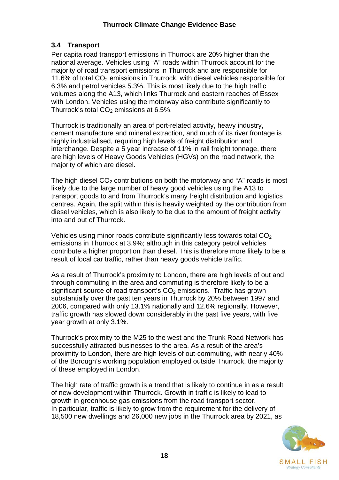# <span id="page-22-0"></span>**3.4 Transport**

Per capita road transport emissions in Thurrock are 20% higher than the national average. Vehicles using "A" roads within Thurrock account for the majority of road transport emissions in Thurrock and are responsible for 11.6% of total  $CO<sub>2</sub>$  emissions in Thurrock, with diesel vehicles responsible for 6.3% and petrol vehicles 5.3%. This is most likely due to the high traffic volumes along the A13, which links Thurrock and eastern reaches of Essex with London. Vehicles using the motorway also contribute significantly to Thurrock's total  $CO<sub>2</sub>$  emissions at 6.5%.

Thurrock is traditionally an area of port-related activity, heavy industry, cement manufacture and mineral extraction, and much of its river frontage is highly industrialised, requiring high levels of freight distribution and interchange. Despite a 5 year increase of 11% in rail freight tonnage, there are high levels of Heavy Goods Vehicles (HGVs) on the road network, the majority of which are diesel.

The high diesel  $CO<sub>2</sub>$  contributions on both the motorway and "A" roads is most likely due to the large number of heavy good vehicles using the A13 to transport goods to and from Thurrock's many freight distribution and logistics centres. Again, the split within this is heavily weighted by the contribution from diesel vehicles, which is also likely to be due to the amount of freight activity into and out of Thurrock.

Vehicles using minor roads contribute significantly less towards total  $CO<sub>2</sub>$ emissions in Thurrock at 3.9%; although in this category petrol vehicles contribute a higher proportion than diesel. This is therefore more likely to be a result of local car traffic, rather than heavy goods vehicle traffic.

As a result of Thurrock's proximity to London, there are high levels of out and through commuting in the area and commuting is therefore likely to be a significant source of road transport's  $CO<sub>2</sub>$  emissions. Traffic has grown substantially over the past ten years in Thurrock by 20% between 1997 and 2006, compared with only 13.1% nationally and 12.6% regionally. However, traffic growth has slowed down considerably in the past five years, with five year growth at only 3.1%.

Thurrock's proximity to the M25 to the west and the Trunk Road Network has successfully attracted businesses to the area. As a result of the area's proximity to London, there are high levels of out-commuting, with nearly 40% of the Borough's working population employed outside Thurrock, the majority of these employed in London.

The high rate of traffic growth is a trend that is likely to continue in as a result of new development within Thurrock. Growth in traffic is likely to lead to growth in greenhouse gas emissions from the road transport sector. In particular, traffic is likely to grow from the requirement for the delivery of 18,500 new dwellings and 26,000 new jobs in the Thurrock area by 2021, as

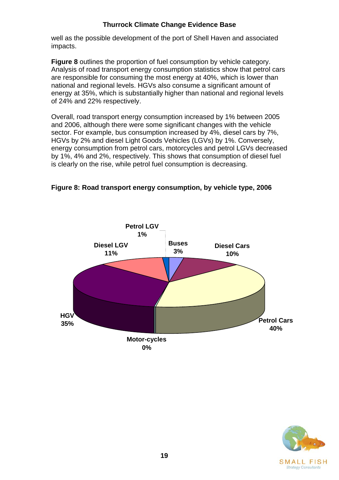well as the possible development of the port of Shell Haven and associated impacts.

**Figure 8** outlines the proportion of fuel consumption by vehicle category. Analysis of road transport energy consumption statistics show that petrol cars are responsible for consuming the most energy at 40%, which is lower than national and regional levels. HGVs also consume a significant amount of energy at 35%, which is substantially higher than national and regional levels of 24% and 22% respectively.

Overall, road transport energy consumption increased by 1% between 2005 and 2006, although there were some significant changes with the vehicle sector. For example, bus consumption increased by 4%, diesel cars by 7%, HGVs by 2% and diesel Light Goods Vehicles (LGVs) by 1%. Conversely, energy consumption from petrol cars, motorcycles and petrol LGVs decreased by 1%, 4% and 2%, respectively. This shows that consumption of diesel fuel is clearly on the rise, while petrol fuel consumption is decreasing.





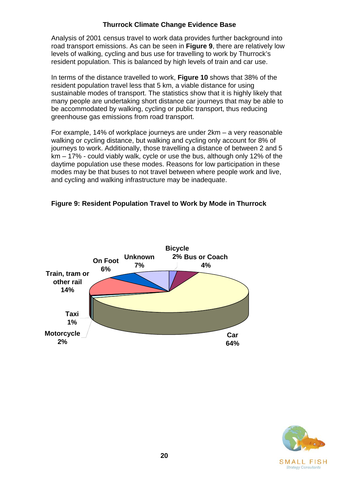Analysis of 2001 census travel to work data provides further background into road transport emissions. As can be seen in **Figure 9**, there are relatively low levels of walking, cycling and bus use for travelling to work by Thurrock's resident population. This is balanced by high levels of train and car use.

In terms of the distance travelled to work, **Figure 10** shows that 38% of the resident population travel less that 5 km, a viable distance for using sustainable modes of transport. The statistics show that it is highly likely that many people are undertaking short distance car journeys that may be able to be accommodated by walking, cycling or public transport, thus reducing greenhouse gas emissions from road transport.

For example, 14% of workplace journeys are under 2km – a very reasonable walking or cycling distance, but walking and cycling only account for 8% of journeys to work. Additionally, those travelling a distance of between 2 and 5 km – 17% - could viably walk, cycle or use the bus, although only 12% of the daytime population use these modes. Reasons for low participation in these modes may be that buses to not travel between where people work and live, and cycling and walking infrastructure may be inadequate.

#### **Figure 9: Resident Population Travel to Work by Mode in Thurrock**



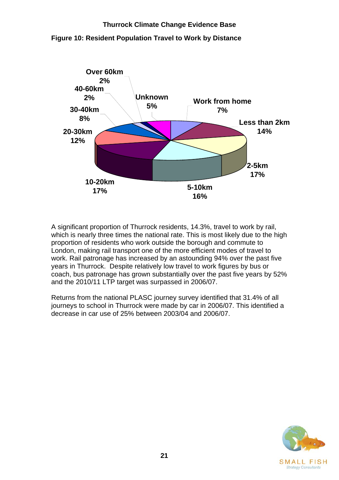

**Figure 10: Resident Population Travel to Work by Distance** 

A significant proportion of Thurrock residents, 14.3%, travel to work by rail, which is nearly three times the national rate. This is most likely due to the high proportion of residents who work outside the borough and commute to London, making rail transport one of the more efficient modes of travel to work. Rail patronage has increased by an astounding 94% over the past five years in Thurrock. Despite relatively low travel to work figures by bus or coach, bus patronage has grown substantially over the past five years by 52% and the 2010/11 LTP target was surpassed in 2006/07.

Returns from the national PLASC journey survey identified that 31.4% of all journeys to school in Thurrock were made by car in 2006/07. This identified a decrease in car use of 25% between 2003/04 and 2006/07.

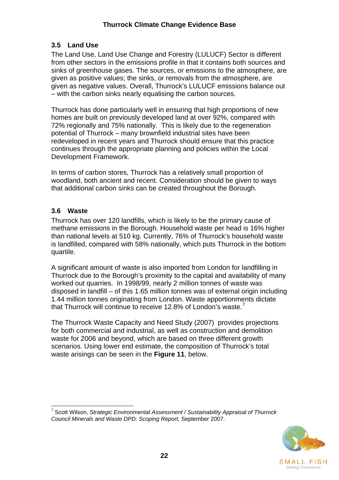# <span id="page-26-0"></span>**3.5 Land Use**

The Land Use, Land Use Change and Forestry (LULUCF) Sector is different from other sectors in the emissions profile in that it contains both sources and sinks of greenhouse gases. The sources, or emissions to the atmosphere, are given as positive values; the sinks, or removals from the atmosphere, are given as negative values. Overall, Thurrock's LULUCF emissions balance out – with the carbon sinks nearly equalising the carbon sources.

Thurrock has done particularly well in ensuring that high proportions of new homes are built on previously developed land at over 92%, compared with 72% regionally and 75% nationally. This is likely due to the regeneration potential of Thurrock – many brownfield industrial sites have been redeveloped in recent years and Thurrock should ensure that this practice continues through the appropriate planning and policies within the Local Development Framework.

In terms of carbon stores, Thurrock has a relatively small proportion of woodland, both ancient and recent. Consideration should be given to ways that additional carbon sinks can be created throughout the Borough.

### **3.6 Waste**

Thurrock has over 120 landfills, which is likely to be the primary cause of methane emissions in the Borough. Household waste per head is 16% higher than national levels at 510 kg. Currently, 76% of Thurrock's household waste is landfilled, compared with 58% nationally, which puts Thurrock in the bottom quartile.

A significant amount of waste is also imported from London for landfilling in Thurrock due to the Borough's proximity to the capital and availability of many worked out quarries. In 1998/99, nearly 2 million tonnes of waste was disposed in landfill – of this 1.65 million tonnes was of external origin including 1.44 million tonnes originating from London. Waste apportionments dictate that Thurrock will continue to receive 12.8% of London's waste.<sup>[7](#page-26-0)</sup>

The Thurrock Waste Capacity and Need Study (2007) provides projections for both commercial and industrial, as well as construction and demolition waste for 2006 and beyond, which are based on three different growth scenarios. Using lower end estimate, the composition of Thurrock's total waste arisings can be seen in the **Figure 11**, below.

<sup>1</sup> 7 Scott Wilson, *Strategic Environmental Assessment / Sustainability Appraisal of Thurrock Council Minerals and Waste DPD: Scoping Report,* September 2007.

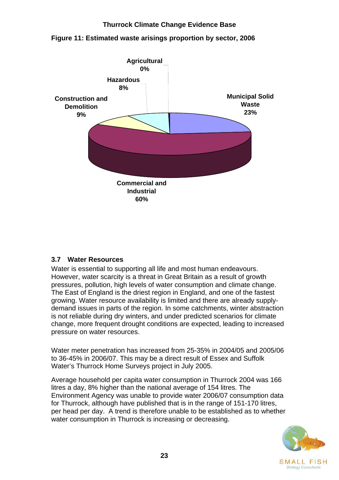

#### <span id="page-27-0"></span>**Figure 11: Estimated waste arisings proportion by sector, 2006**

#### **3.7 Water Resources**

Water is essential to supporting all life and most human endeavours. However, water scarcity is a threat in Great Britain as a result of growth pressures, pollution, high levels of water consumption and climate change. The East of England is the driest region in England, and one of the fastest growing. Water resource availability is limited and there are already supplydemand issues in parts of the region. In some catchments, winter abstraction is not reliable during dry winters, and under predicted scenarios for climate change, more frequent drought conditions are expected, leading to increased pressure on water resources.

Water meter penetration has increased from 25-35% in 2004/05 and 2005/06 to 36-45% in 2006/07. This may be a direct result of Essex and Suffolk Water's Thurrock Home Surveys project in July 2005.

Average household per capita water consumption in Thurrock 2004 was 166 litres a day, 8% higher than the national average of 154 litres. The Environment Agency was unable to provide water 2006/07 consumption data for Thurrock, although have published that is in the range of 151-170 litres, per head per day. A trend is therefore unable to be established as to whether water consumption in Thurrock is increasing or decreasing.

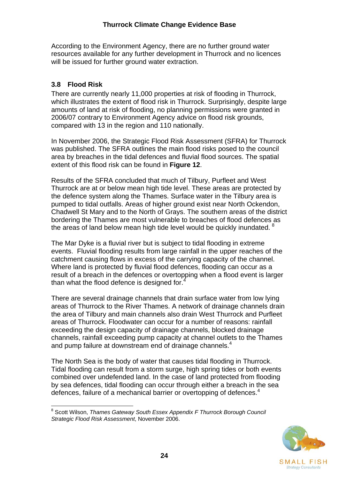<span id="page-28-0"></span>According to the Environment Agency, there are no further ground water resources available for any further development in Thurrock and no licences will be issued for further ground water extraction.

### **3.8 Flood Risk**

There are currently nearly 11,000 properties at risk of flooding in Thurrock, which illustrates the extent of flood risk in Thurrock. Surprisingly, despite large amounts of land at risk of flooding, no planning permissions were granted in 2006/07 contrary to Environment Agency advice on flood risk grounds, compared with 13 in the region and 110 nationally.

In November 2006, the Strategic Flood Risk Assessment (SFRA) for Thurrock was published. The SFRA outlines the main flood risks posed to the council area by breaches in the tidal defences and fluvial flood sources. The spatial extent of this flood risk can be found in **Figure 12**.

Results of the SFRA concluded that much of Tilbury, Purfleet and West Thurrock are at or below mean high tide level. These areas are protected by the defence system along the Thames. Surface water in the Tilbury area is pumped to tidal outfalls. Areas of higher ground exist near North Ockendon, Chadwell St Mary and to the North of Grays. The southern areas of the district bordering the Thames are most vulnerable to breaches of flood defences as the areas of land below mean high tide level would be quickly inundated.  $8<sup>8</sup>$  $8<sup>8</sup>$ 

The Mar Dyke is a fluvial river but is subject to tidal flooding in extreme events. Fluvial flooding results from large rainfall in the upper reaches of the catchment causing flows in excess of the carrying capacity of the channel. Where land is protected by fluvial flood defences, flooding can occur as a result of a breach in the defences or overtopping when a flood event is larger than what the flood defence is designed for.<sup>4</sup>

There are several drainage channels that drain surface water from low lying areas of Thurrock to the River Thames. A network of drainage channels drain the area of Tilbury and main channels also drain West Thurrock and Purfleet areas of Thurrock. Floodwater can occur for a number of reasons: rainfall exceeding the design capacity of drainage channels, blocked drainage channels, rainfall exceeding pump capacity at channel outlets to the Thames and pump failure at downstream end of drainage channels.<sup>4</sup>

The North Sea is the body of water that causes tidal flooding in Thurrock. Tidal flooding can result from a storm surge, high spring tides or both events combined over undefended land. In the case of land protected from flooding by sea defences, tidal flooding can occur through either a breach in the sea defences, failure of a mechanical barrier or overtopping of defences.<sup>4</sup>

<sup>1</sup> <sup>8</sup> Scott Wilson, *Thames Gateway South Essex Appendix F Thurrock Borough Council Strategic Flood Risk Assessment*, November 2006.

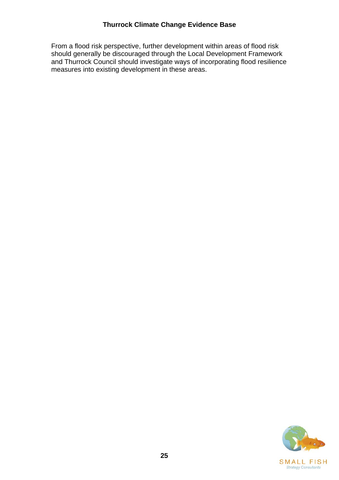From a flood risk perspective, further development within areas of flood risk should generally be discouraged through the Local Development Framework and Thurrock Council should investigate ways of incorporating flood resilience measures into existing development in these areas.

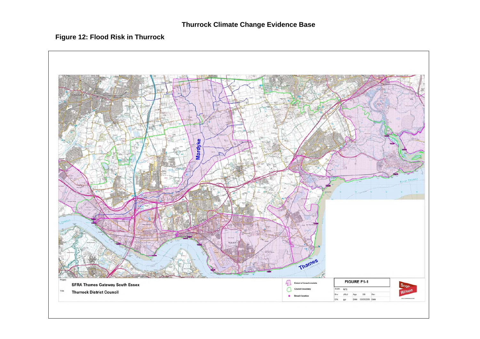#### **Figure 12: Flood Risk in Thurrock**

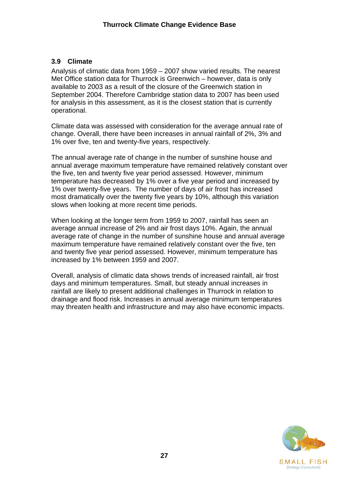#### <span id="page-31-0"></span>**3.9 Climate**

Analysis of climatic data from 1959 – 2007 show varied results. The nearest Met Office station data for Thurrock is Greenwich – however, data is only available to 2003 as a result of the closure of the Greenwich station in September 2004. Therefore Cambridge station data to 2007 has been used for analysis in this assessment, as it is the closest station that is currently operational.

Climate data was assessed with consideration for the average annual rate of change. Overall, there have been increases in annual rainfall of 2%, 3% and 1% over five, ten and twenty-five years, respectively.

The annual average rate of change in the number of sunshine house and annual average maximum temperature have remained relatively constant over the five, ten and twenty five year period assessed. However, minimum temperature has decreased by 1% over a five year period and increased by 1% over twenty-five years. The number of days of air frost has increased most dramatically over the twenty five years by 10%, although this variation slows when looking at more recent time periods.

When looking at the longer term from 1959 to 2007, rainfall has seen an average annual increase of 2% and air frost days 10%. Again, the annual average rate of change in the number of sunshine house and annual average maximum temperature have remained relatively constant over the five, ten and twenty five year period assessed. However, minimum temperature has increased by 1% between 1959 and 2007.

Overall, analysis of climatic data shows trends of increased rainfall, air frost days and minimum temperatures. Small, but steady annual increases in rainfall are likely to present additional challenges in Thurrock in relation to drainage and flood risk. Increases in annual average minimum temperatures may threaten health and infrastructure and may also have economic impacts.

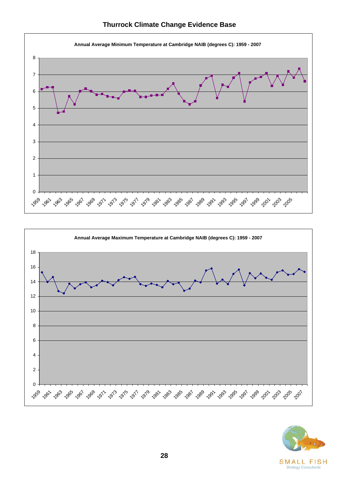



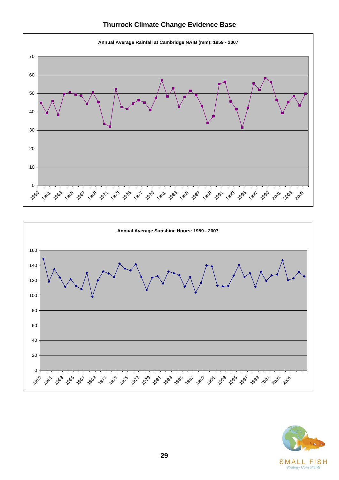



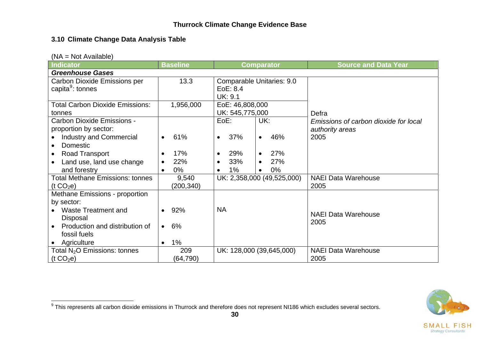#### **3.10 Climate Change Data Analysis Table**

|  |  | $(NA = Not Available)$ |
|--|--|------------------------|
|  |  |                        |

| <b>Indicator</b>                                                                                                                                                           | <b>Baseline</b>                              | Comparator                                                                                     | <b>Source and Data Year</b>                                      |  |  |  |  |
|----------------------------------------------------------------------------------------------------------------------------------------------------------------------------|----------------------------------------------|------------------------------------------------------------------------------------------------|------------------------------------------------------------------|--|--|--|--|
| <b>Greenhouse Gases</b>                                                                                                                                                    |                                              |                                                                                                |                                                                  |  |  |  |  |
| Carbon Dioxide Emissions per<br>capita <sup>9</sup> : tonnes                                                                                                               | 13.3                                         | Comparable Unitaries: 9.0<br>EoE: 8.4<br>UK: 9.1                                               |                                                                  |  |  |  |  |
| <b>Total Carbon Dioxide Emissions:</b><br>tonnes                                                                                                                           | 1,956,000                                    | EoE: 46,808,000<br>UK: 545,775,000                                                             | Defra                                                            |  |  |  |  |
| Carbon Dioxide Emissions -<br>proportion by sector:<br><b>Industry and Commercial</b><br>Domestic<br><b>Road Transport</b>                                                 | 61%<br>17%                                   | $EoE$ :<br>UK:<br>37%<br>46%<br>$\bullet$<br>$\bullet$<br>27%<br>29%<br>$\bullet$<br>$\bullet$ | Emissions of carbon dioxide for local<br>authority areas<br>2005 |  |  |  |  |
| Land use, land use change<br>and forestry                                                                                                                                  | 22%<br>$0\%$<br>$\bullet$                    | 27%<br>33%<br>$\bullet$<br>$1\%$<br>$0\%$<br>$\bullet$                                         |                                                                  |  |  |  |  |
| <b>Total Methane Emissions: tonnes</b><br>(t CO <sub>2</sub> e)                                                                                                            | 9,540<br>(200, 340)                          | UK: 2,358,000 (49,525,000)                                                                     | <b>NAEI Data Warehouse</b><br>2005                               |  |  |  |  |
| Methane Emissions - proportion<br>by sector:<br>Waste Treatment and<br>$\bullet$<br>Disposal<br>Production and distribution of<br>$\bullet$<br>fossil fuels<br>Agriculture | 92%<br>6%<br>$\bullet$<br>$1\%$<br>$\bullet$ | <b>NA</b>                                                                                      | <b>NAEI Data Warehouse</b><br>2005                               |  |  |  |  |
| Total $N_2O$ Emissions: tonnes<br>(t CO <sub>2</sub> e)                                                                                                                    | 209<br>(64, 790)                             | UK: 128,000 (39,645,000)                                                                       | <b>NAEI Data Warehouse</b><br>2005                               |  |  |  |  |

SMAI **Strategy Consultants** 

<span id="page-34-1"></span><span id="page-34-0"></span><sup>9</sup> This represents all carbon dioxide emissions in Thurrock and therefore does not represent NI186 which excludes several sectors.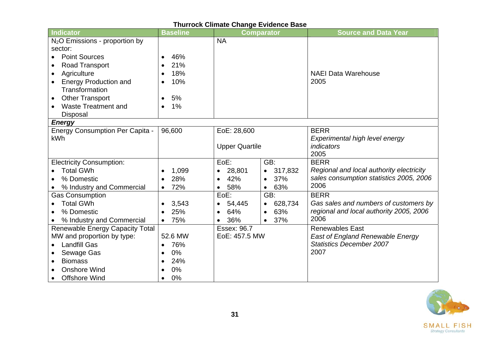| Thurrock Climate Change Evidence Base  |                  |                       |                      |                                          |  |  |
|----------------------------------------|------------------|-----------------------|----------------------|------------------------------------------|--|--|
| Indicator                              | <b>Baseline</b>  |                       | <b>Comparator</b>    | <b>Source and Data Year</b>              |  |  |
| $N2O$ Emissions - proportion by        |                  | <b>NA</b>             |                      |                                          |  |  |
| sector:                                |                  |                       |                      |                                          |  |  |
| <b>Point Sources</b><br>$\bullet$      | 46%<br>$\bullet$ |                       |                      |                                          |  |  |
| Road Transport                         | 21%              |                       |                      |                                          |  |  |
| Agriculture<br>$\bullet$               | 18%              |                       |                      | <b>NAEI Data Warehouse</b>               |  |  |
| <b>Energy Production and</b>           | 10%              |                       |                      | 2005                                     |  |  |
| Transformation                         |                  |                       |                      |                                          |  |  |
| <b>Other Transport</b><br>$\bullet$    | 5%<br>$\bullet$  |                       |                      |                                          |  |  |
| <b>Waste Treatment and</b>             | 1%<br>$\bullet$  |                       |                      |                                          |  |  |
| Disposal                               |                  |                       |                      |                                          |  |  |
| <b>Energy</b>                          |                  |                       |                      |                                          |  |  |
| <b>Energy Consumption Per Capita -</b> | 96,600           | EoE: 28,600           |                      | <b>BERR</b>                              |  |  |
| <b>kWh</b>                             |                  |                       |                      | Experimental high level energy           |  |  |
|                                        |                  | <b>Upper Quartile</b> |                      | <i>indicators</i>                        |  |  |
|                                        |                  |                       |                      | 2005                                     |  |  |
| <b>Electricity Consumption:</b>        |                  | EoE:                  | GB:                  | <b>BERR</b>                              |  |  |
| <b>Total GWh</b>                       | 1,099            | 28,801                | 317,832              | Regional and local authority electricity |  |  |
| % Domestic                             | 28%              | 42%                   | 37%                  | sales consumption statistics 2005, 2006  |  |  |
| % Industry and Commercial              | 72%<br>$\bullet$ | 58%<br>$\bullet$      | 63%<br>$\bullet$     | 2006                                     |  |  |
| <b>Gas Consumption</b>                 |                  | EoE:                  | GB:                  | <b>BERR</b>                              |  |  |
| <b>Total GWh</b>                       | 3,543            | 54,445<br>$\bullet$   | 628,734<br>$\bullet$ | Gas sales and numbers of customers by    |  |  |
| % Domestic                             | 25%              | 64%<br>$\bullet$      | 63%<br>$\bullet$     | regional and local authority 2005, 2006  |  |  |
| % Industry and Commercial              | 75%<br>$\bullet$ | 36%                   | 37%<br>$\bullet$     | 2006                                     |  |  |
| <b>Renewable Energy Capacity Total</b> |                  | Essex: 96.7           |                      | <b>Renewables East</b>                   |  |  |
| MW and proportion by type:             | 52.6 MW          | EoE: 457.5 MW         |                      | <b>East of England Renewable Energy</b>  |  |  |
| <b>Landfill Gas</b>                    | 76%<br>$\bullet$ |                       |                      | <b>Statistics December 2007</b>          |  |  |
| Sewage Gas                             | 0%               |                       |                      | 2007                                     |  |  |
| <b>Biomass</b>                         | 24%              |                       |                      |                                          |  |  |
| <b>Onshore Wind</b>                    | 0%               |                       |                      |                                          |  |  |
| <b>Offshore Wind</b>                   | 0%<br>$\bullet$  |                       |                      |                                          |  |  |

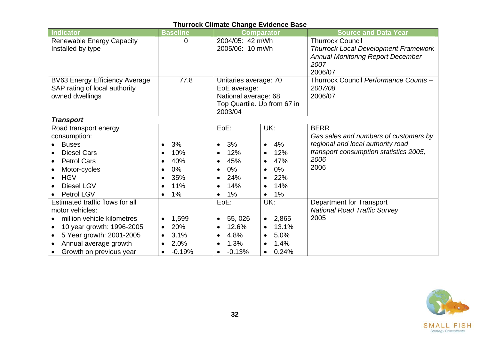| <b>Indicator</b>                       | <b>Baseline</b>    |                             | <b>Comparator</b>  | <b>Source and Data Year</b>                 |
|----------------------------------------|--------------------|-----------------------------|--------------------|---------------------------------------------|
| <b>Renewable Energy Capacity</b>       | $\overline{0}$     | 2004/05: 42 mWh             |                    | <b>Thurrock Council</b>                     |
| Installed by type                      |                    | 2005/06: 10 mWh             |                    | <b>Thurrock Local Development Framework</b> |
|                                        |                    |                             |                    | <b>Annual Monitoring Report December</b>    |
|                                        |                    |                             |                    | 2007                                        |
|                                        |                    |                             |                    | 2006/07                                     |
| <b>BV63 Energy Efficiency Average</b>  | 77.8               | Unitaries average: 70       |                    | Thurrock Council Performance Counts -       |
| SAP rating of local authority          |                    | EoE average:                |                    | 2007/08                                     |
| owned dwellings                        |                    | National average: 68        |                    | 2006/07                                     |
|                                        |                    | Top Quartile. Up from 67 in |                    |                                             |
|                                        |                    | 2003/04                     |                    |                                             |
| <b>Transport</b>                       |                    |                             |                    |                                             |
| Road transport energy                  |                    | EoE:                        | UK:                | <b>BERR</b>                                 |
| consumption:                           |                    |                             |                    | Gas sales and numbers of customers by       |
| <b>Buses</b>                           | 3%<br>$\bullet$    | 3%<br>$\bullet$             | 4%<br>$\bullet$    | regional and local authority road           |
| <b>Diesel Cars</b>                     | 10%                | 12%                         | 12%<br>$\bullet$   | transport consumption statistics 2005,      |
| <b>Petrol Cars</b>                     | 40%                | 45%                         | 47%<br>$\bullet$   | 2006                                        |
| Motor-cycles                           | $0\%$              | $0\%$<br>$\bullet$          | $0\%$<br>$\bullet$ | 2006                                        |
| <b>HGV</b>                             | 35%                | 24%<br>$\bullet$            | 22%<br>$\bullet$   |                                             |
| Diesel LGV                             | 11%                | 14%                         | 14%<br>$\bullet$   |                                             |
| Petrol LGV                             | $1\%$<br>$\bullet$ | 1%                          | 1%<br>$\bullet$    |                                             |
| Estimated traffic flows for all        |                    | EoE:                        | UK:                | <b>Department for Transport</b>             |
| motor vehicles:                        |                    |                             |                    | <b>National Road Traffic Survey</b>         |
| million vehicle kilometres             | 1,599              | 55, 026<br>$\bullet$        | • 2,865            | 2005                                        |
| 10 year growth: 1996-2005<br>$\bullet$ | 20%<br>$\bullet$   | 12.6%<br>$\bullet$          | 13.1%<br>$\bullet$ |                                             |
| 5 Year growth: 2001-2005               | 3.1%               | 4.8%<br>$\bullet$           | 5.0%<br>$\bullet$  |                                             |
| Annual average growth                  | 2.0%               | 1.3%                        | 1.4%<br>$\bullet$  |                                             |
| Growth on previous year                | $-0.19%$           | $-0.13%$                    | 0.24%<br>$\bullet$ |                                             |

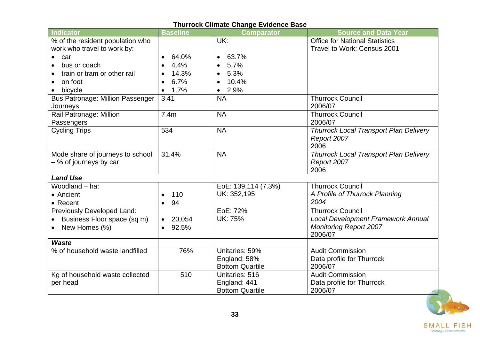| <b>Indicator</b>                        | <b>Baseline</b>     | <b>Comparator</b>      | <b>Source and Data Year</b>                   |
|-----------------------------------------|---------------------|------------------------|-----------------------------------------------|
| % of the resident population who        |                     | UK:                    | <b>Office for National Statistics</b>         |
| work who travel to work by:             |                     |                        | Travel to Work: Census 2001                   |
| car<br>$\bullet$                        | 64.0%               | 63.7%                  |                                               |
| bus or coach                            | 4.4%                | 5.7%                   |                                               |
| train or tram or other rail             | 14.3%               | 5.3%                   |                                               |
| on foot                                 | 6.7%                | 10.4%                  |                                               |
| bicycle                                 | 1.7%                | 2.9%<br>$\bullet$      |                                               |
| <b>Bus Patronage: Million Passenger</b> | 3.41                | <b>NA</b>              | <b>Thurrock Council</b>                       |
| Journeys                                |                     |                        | 2006/07                                       |
| Rail Patronage: Million                 | 7.4m                | <b>NA</b>              | <b>Thurrock Council</b>                       |
| Passengers                              |                     |                        | 2006/07                                       |
| <b>Cycling Trips</b>                    | 534                 | <b>NA</b>              | <b>Thurrock Local Transport Plan Delivery</b> |
|                                         |                     |                        | Report 2007                                   |
|                                         |                     |                        | 2006                                          |
| Mode share of journeys to school        | 31.4%               | <b>NA</b>              | <b>Thurrock Local Transport Plan Delivery</b> |
| -% of journeys by car                   |                     |                        | Report 2007<br>2006                           |
| <b>Land Use</b>                         |                     |                        |                                               |
| Woodland - ha:                          |                     | EoE: 139,114 (7.3%)    | <b>Thurrock Council</b>                       |
| • Ancient                               | 110<br>$\bullet$    | UK: 352,195            | A Profile of Thurrock Planning                |
| • Recent                                | 94<br>$\bullet$     |                        | 2004                                          |
| Previously Developed Land:              |                     | EoE: 72%               | <b>Thurrock Council</b>                       |
| Business Floor space (sq m)             | 20,054<br>$\bullet$ | <b>UK: 75%</b>         | <b>Local Development Framework Annual</b>     |
| New Homes (%)                           | 92.5%<br>$\bullet$  |                        | <b>Monitoring Report 2007</b>                 |
|                                         |                     |                        | 2006/07                                       |
| <b>Waste</b>                            |                     |                        |                                               |
| % of household waste landfilled         | 76%                 | Unitaries: 59%         | <b>Audit Commission</b>                       |
|                                         |                     | England: 58%           | Data profile for Thurrock                     |
|                                         |                     | <b>Bottom Quartile</b> | 2006/07                                       |
| Kg of household waste collected         | 510                 | Unitaries: 516         | <b>Audit Commission</b>                       |
| per head                                |                     | England: 441           | Data profile for Thurrock                     |
|                                         |                     | <b>Bottom Quartile</b> | 2006/07                                       |





 $\begin{array}{c} \textbf{S} \textbf{M} \textbf{ALL} \textbf{ F} \textbf{IS} \textbf{H} \\ \textit{Strategy Consultants} \end{array}$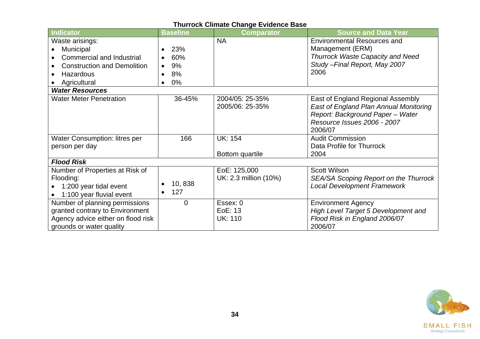| <b>Indicator</b>                                                                                                                    | <b>Baseline</b>                 | <b>Comparator</b>                     | <b>Source and Data Year</b>                                                                                                                               |
|-------------------------------------------------------------------------------------------------------------------------------------|---------------------------------|---------------------------------------|-----------------------------------------------------------------------------------------------------------------------------------------------------------|
| Waste arisings:<br>Municipal<br><b>Commercial and Industrial</b><br><b>Construction and Demolition</b><br>Hazardous<br>Agricultural | 23%<br>60%<br>9%<br>8%<br>$0\%$ | <b>NA</b>                             | <b>Environmental Resources and</b><br>Management (ERM)<br><b>Thurrock Waste Capacity and Need</b><br>Study - Final Report, May 2007<br>2006               |
| <b>Water Resources</b>                                                                                                              |                                 |                                       |                                                                                                                                                           |
| <b>Water Meter Penetration</b>                                                                                                      | 36-45%                          | 2004/05: 25-35%<br>2005/06: 25-35%    | East of England Regional Assembly<br>East of England Plan Annual Monitoring<br>Report: Background Paper - Water<br>Resource Issues 2006 - 2007<br>2006/07 |
| <b>Water Consumption: litres per</b><br>person per day                                                                              | 166                             | <b>UK: 154</b><br>Bottom quartile     | <b>Audit Commission</b><br>Data Profile for Thurrock<br>2004                                                                                              |
| <b>Flood Risk</b>                                                                                                                   |                                 |                                       |                                                                                                                                                           |
| Number of Properties at Risk of<br>Flooding:<br>1:200 year tidal event<br>1:100 year fluvial event                                  | 10,838<br>127<br>$\bullet$      | EoE: 125,000<br>UK: 2.3 million (10%) | <b>Scott Wilson</b><br>SEA/SA Scoping Report on the Thurrock<br><b>Local Development Framework</b>                                                        |
| Number of planning permissions<br>granted contrary to Environment<br>Agency advice either on flood risk<br>grounds or water quality | $\overline{0}$                  | Essex: 0<br>EoE: 13<br><b>UK: 110</b> | <b>Environment Agency</b><br>High Level Target 5 Development and<br>Flood Risk in England 2006/07<br>2006/07                                              |

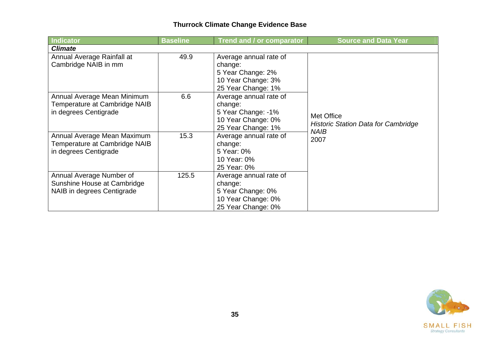| <b>Indicator</b>                                                                      | <b>Baseline</b> | Trend and / or comparator                                                                           | <b>Source and Data Year</b>                                             |  |  |  |  |
|---------------------------------------------------------------------------------------|-----------------|-----------------------------------------------------------------------------------------------------|-------------------------------------------------------------------------|--|--|--|--|
| <b>Climate</b>                                                                        |                 |                                                                                                     |                                                                         |  |  |  |  |
| Annual Average Rainfall at<br>Cambridge NAIB in mm                                    | 49.9            | Average annual rate of<br>change:<br>5 Year Change: 2%<br>10 Year Change: 3%<br>25 Year Change: 1%  |                                                                         |  |  |  |  |
| Annual Average Mean Minimum<br>Temperature at Cambridge NAIB<br>in degrees Centigrade | 6.6             | Average annual rate of<br>change:<br>5 Year Change: -1%<br>10 Year Change: 0%<br>25 Year Change: 1% | Met Office<br><b>Historic Station Data for Cambridge</b><br><b>NAIB</b> |  |  |  |  |
| Annual Average Mean Maximum<br>Temperature at Cambridge NAIB<br>in degrees Centigrade | 15.3            | Average annual rate of<br>change:<br>5 Year: 0%<br>10 Year: 0%<br>25 Year: 0%                       | 2007                                                                    |  |  |  |  |
| Annual Average Number of<br>Sunshine House at Cambridge<br>NAIB in degrees Centigrade | 125.5           | Average annual rate of<br>change:<br>5 Year Change: 0%<br>10 Year Change: 0%<br>25 Year Change: 0%  |                                                                         |  |  |  |  |

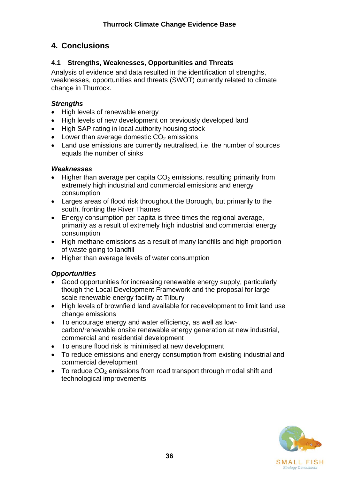# <span id="page-40-0"></span>**4. Conclusions**

# **4.1 Strengths, Weaknesses, Opportunities and Threats**

Analysis of evidence and data resulted in the identification of strengths, weaknesses, opportunities and threats (SWOT) currently related to climate change in Thurrock.

# *Strengths*

- High levels of renewable energy
- High levels of new development on previously developed land
- High SAP rating in local authority housing stock
- Lower than average domestic  $CO<sub>2</sub>$  emissions
- Land use emissions are currently neutralised, i.e. the number of sources equals the number of sinks

# *Weaknesses*

- Higher than average per capita  $CO<sub>2</sub>$  emissions, resulting primarily from extremely high industrial and commercial emissions and energy consumption
- Larges areas of flood risk throughout the Borough, but primarily to the south, fronting the River Thames
- Energy consumption per capita is three times the regional average, primarily as a result of extremely high industrial and commercial energy consumption
- High methane emissions as a result of many landfills and high proportion of waste going to landfill
- Higher than average levels of water consumption

# *Opportunities*

- Good opportunities for increasing renewable energy supply, particularly though the Local Development Framework and the proposal for large scale renewable energy facility at Tilbury
- High levels of brownfield land available for redevelopment to limit land use change emissions
- To encourage energy and water efficiency, as well as lowcarbon/renewable onsite renewable energy generation at new industrial, commercial and residential development
- To ensure flood risk is minimised at new development
- To reduce emissions and energy consumption from existing industrial and commercial development
- To reduce  $CO<sub>2</sub>$  emissions from road transport through modal shift and technological improvements

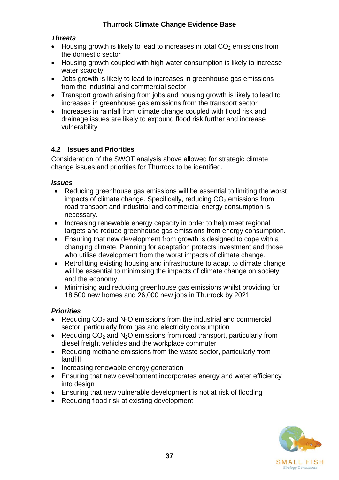### <span id="page-41-0"></span>*Threats*

- Housing growth is likely to lead to increases in total  $CO<sub>2</sub>$  emissions from the domestic sector
- Housing growth coupled with high water consumption is likely to increase water scarcity
- Jobs growth is likely to lead to increases in greenhouse gas emissions from the industrial and commercial sector
- Transport growth arising from jobs and housing growth is likely to lead to increases in greenhouse gas emissions from the transport sector
- Increases in rainfall from climate change coupled with flood risk and drainage issues are likely to expound flood risk further and increase vulnerability

### **4.2 Issues and Priorities**

Consideration of the SWOT analysis above allowed for strategic climate change issues and priorities for Thurrock to be identified.

#### *Issues*

- Reducing greenhouse gas emissions will be essential to limiting the worst impacts of climate change. Specifically, reducing  $CO<sub>2</sub>$  emissions from road transport and industrial and commercial energy consumption is necessary.
- Increasing renewable energy capacity in order to help meet regional targets and reduce greenhouse gas emissions from energy consumption.
- Ensuring that new development from growth is designed to cope with a changing climate. Planning for adaptation protects investment and those who utilise development from the worst impacts of climate change.
- Retrofitting existing housing and infrastructure to adapt to climate change will be essential to minimising the impacts of climate change on society and the economy.
- Minimising and reducing greenhouse gas emissions whilst providing for 18,500 new homes and 26,000 new jobs in Thurrock by 2021

#### *Priorities*

- Reducing  $CO<sub>2</sub>$  and N<sub>2</sub>O emissions from the industrial and commercial sector, particularly from gas and electricity consumption
- Reducing  $CO<sub>2</sub>$  and N<sub>2</sub>O emissions from road transport, particularly from diesel freight vehicles and the workplace commuter
- Reducing methane emissions from the waste sector, particularly from landfill
- Increasing renewable energy generation
- Ensuring that new development incorporates energy and water efficiency into design
- Ensuring that new vulnerable development is not at risk of flooding
- Reducing flood risk at existing development